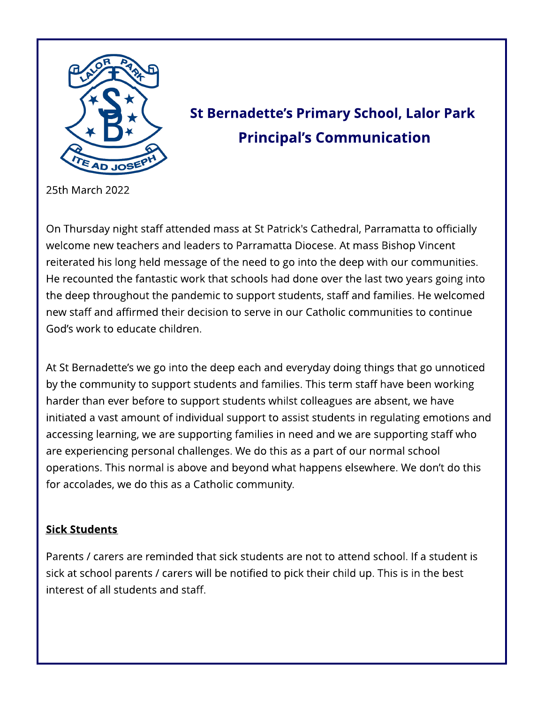

# St Bernadette's Primary School, Lalor Park **Principal's Communication**

25th March 2022

On Thursday night staff attended mass at St Patrick's Cathedral, Parramatta to officially welcome new teachers and leaders to Parramatta Diocese. At mass Bishop Vincent reiterated his long held message of the need to go into the deep with our communities. He recounted the fantastic work that schools had done over the last two years going into the deep throughout the pandemic to support students, staff and families. He welcomed new staff and affirmed their decision to serve in our Catholic communities to continue God?s work to educate children.

At St Bernadette's we go into the deep each and everyday doing things that go unnoticed by the community to support students and families. This term staff have been working harder than ever before to support students whilst colleagues are absent, we have initiated a vast amount of individual support to assist students in regulating emotions and accessing learning, we are supporting families in need and we are supporting staff who are experiencing personal challenges. We do this as a part of our normal school operations. This normal is above and beyond what happens elsewhere. We don't do this for accolades, we do this as a Catholic community.

#### **Sick Students**

Parents / carers are reminded that sick students are not to attend school. If a student is sick at school parents / carers will be notified to pick their child up. This is in the best interest of all students and staff.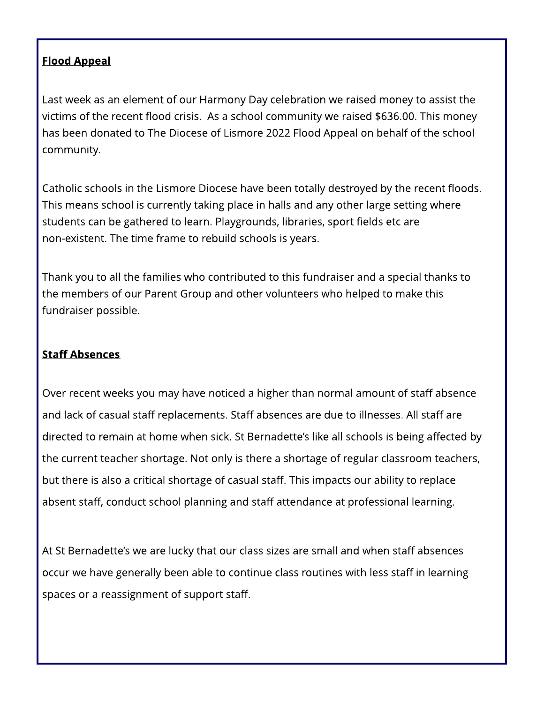### Flood Appeal

Last week as an element of our Harmony Day celebration we raised money to assist the victims of the recent flood crisis. As a school community we raised \$636.00. This money has been donated to The Diocese of Lismore 2022 Flood Appeal on behalf of the school community.

Catholic schools in the Lismore Diocese have been totally destroyed by the recent floods. This means school is currently taking place in halls and any other large setting where students can be gathered to learn. Playgrounds, libraries, sport fields etc are non-existent. The time frame to rebuild schools is years.

Thank you to all the families who contributed to this fundraiser and a special thanks to the members of our Parent Group and other volunteers who helped to make this fundraiser possible.

#### **Staff Absences**

Over recent weeks you may have noticed a higher than normal amount of staff absence and lack of casual staff replacements. Staff absences are due to illnesses. All staff are directed to remain at home when sick. St Bernadette's like all schools is being affected by the current teacher shortage. Not only is there a shortage of regular classroom teachers, but there is also a critical shortage of casual staff. This impacts our ability to replace absent staff, conduct school planning and staff attendance at professional learning.

At St Bernadette's we are lucky that our class sizes are small and when staff absences occur we have generally been able to continue class routines with less staff in learning spaces or a reassignment of support staff.